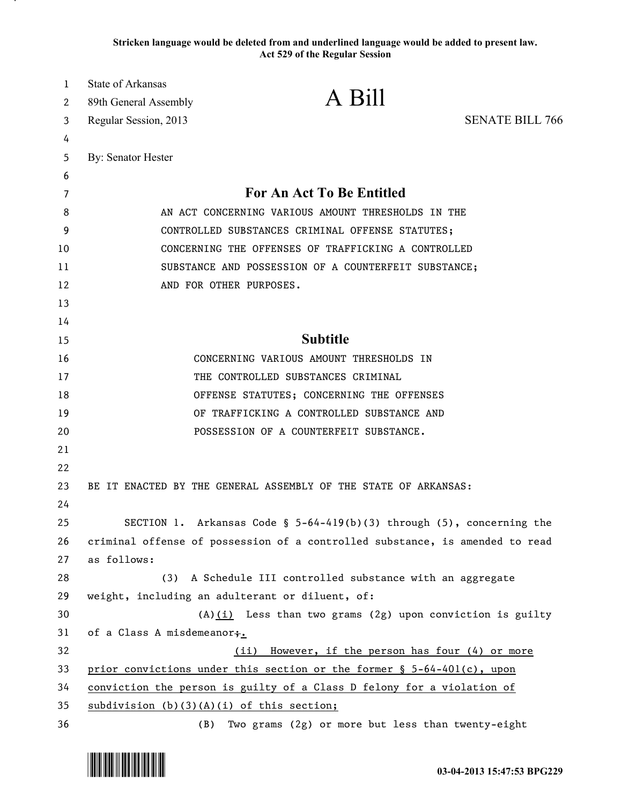**Stricken language would be deleted from and underlined language would be added to present law. Act 529 of the Regular Session**

| 1  | State of Arkansas                                    |                                                                              |                        |
|----|------------------------------------------------------|------------------------------------------------------------------------------|------------------------|
| 2  | 89th General Assembly                                | A Bill                                                                       |                        |
| 3  | Regular Session, 2013                                |                                                                              | <b>SENATE BILL 766</b> |
| 4  |                                                      |                                                                              |                        |
| 5  | By: Senator Hester                                   |                                                                              |                        |
| 6  |                                                      |                                                                              |                        |
| 7  |                                                      | <b>For An Act To Be Entitled</b>                                             |                        |
| 8  | AN ACT CONCERNING VARIOUS AMOUNT THRESHOLDS IN THE   |                                                                              |                        |
| 9  | CONTROLLED SUBSTANCES CRIMINAL OFFENSE STATUTES;     |                                                                              |                        |
| 10 | CONCERNING THE OFFENSES OF TRAFFICKING A CONTROLLED  |                                                                              |                        |
| 11 | SUBSTANCE AND POSSESSION OF A COUNTERFEIT SUBSTANCE; |                                                                              |                        |
| 12 |                                                      | AND FOR OTHER PURPOSES.                                                      |                        |
| 13 |                                                      |                                                                              |                        |
| 14 |                                                      |                                                                              |                        |
| 15 |                                                      | <b>Subtitle</b>                                                              |                        |
| 16 |                                                      | CONCERNING VARIOUS AMOUNT THRESHOLDS IN                                      |                        |
| 17 |                                                      | THE CONTROLLED SUBSTANCES CRIMINAL                                           |                        |
| 18 |                                                      | OFFENSE STATUTES; CONCERNING THE OFFENSES                                    |                        |
| 19 |                                                      | OF TRAFFICKING A CONTROLLED SUBSTANCE AND                                    |                        |
| 20 |                                                      | POSSESSION OF A COUNTERFEIT SUBSTANCE.                                       |                        |
| 21 |                                                      |                                                                              |                        |
| 22 |                                                      |                                                                              |                        |
| 23 |                                                      | BE IT ENACTED BY THE GENERAL ASSEMBLY OF THE STATE OF ARKANSAS:              |                        |
| 24 |                                                      |                                                                              |                        |
| 25 |                                                      | SECTION 1. Arkansas Code § $5-64-419(b)(3)$ through (5), concerning the      |                        |
| 26 |                                                      | criminal offense of possession of a controlled substance, is amended to read |                        |
| 27 | as follows:                                          |                                                                              |                        |
| 28 | (3)                                                  | A Schedule III controlled substance with an aggregate                        |                        |
| 29 |                                                      | weight, including an adulterant or diluent, of:                              |                        |
| 30 |                                                      | $(A)(i)$ Less than two grams (2g) upon conviction is guilty                  |                        |
| 31 | of a Class A misdemeanor;.                           |                                                                              |                        |
| 32 |                                                      | However, if the person has four (4) or more<br>(ii)                          |                        |
| 33 |                                                      | prior convictions under this section or the former § 5-64-401(c), upon       |                        |
| 34 |                                                      | conviction the person is guilty of a Class D felony for a violation of       |                        |
| 35 | $subdivision (b)(3)(A)(i)$ of this section;          |                                                                              |                        |
| 36 | (B)                                                  | Two grams (2g) or more but less than twenty-eight                            |                        |

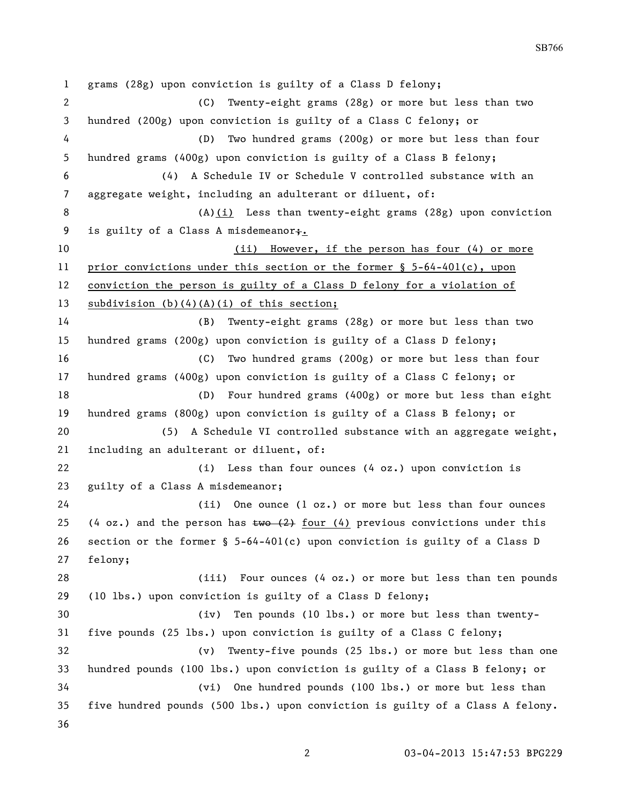grams (28g) upon conviction is guilty of a Class D felony; (C) Twenty-eight grams (28g) or more but less than two hundred (200g) upon conviction is guilty of a Class C felony; or (D) Two hundred grams (200g) or more but less than four hundred grams (400g) upon conviction is guilty of a Class B felony; (4) A Schedule IV or Schedule V controlled substance with an aggregate weight, including an adulterant or diluent, of: 8 (A)(i) Less than twenty-eight grams (28g) upon conviction 9 is guilty of a Class A misdemeanor+. 10 (ii) However, if the person has four (4) or more prior convictions under this section or the former § 5-64-401(c), upon conviction the person is guilty of a Class D felony for a violation of subdivision (b)(4)(A)(i) of this section; (B) Twenty-eight grams (28g) or more but less than two hundred grams (200g) upon conviction is guilty of a Class D felony; (C) Two hundred grams (200g) or more but less than four hundred grams (400g) upon conviction is guilty of a Class C felony; or (D) Four hundred grams (400g) or more but less than eight hundred grams (800g) upon conviction is guilty of a Class B felony; or (5) A Schedule VI controlled substance with an aggregate weight, including an adulterant or diluent, of: (i) Less than four ounces (4 oz.) upon conviction is guilty of a Class A misdemeanor; (ii) One ounce (1 oz.) or more but less than four ounces 25 (4 oz.) and the person has  $\frac{1}{2}$  four (4) previous convictions under this section or the former § 5-64-401(c) upon conviction is guilty of a Class D felony; (iii) Four ounces (4 oz.) or more but less than ten pounds (10 lbs.) upon conviction is guilty of a Class D felony; (iv) Ten pounds (10 lbs.) or more but less than twenty- five pounds (25 lbs.) upon conviction is guilty of a Class C felony; (v) Twenty-five pounds (25 lbs.) or more but less than one hundred pounds (100 lbs.) upon conviction is guilty of a Class B felony; or (vi) One hundred pounds (100 lbs.) or more but less than five hundred pounds (500 lbs.) upon conviction is guilty of a Class A felony. 

SB766

03-04-2013 15:47:53 BPG229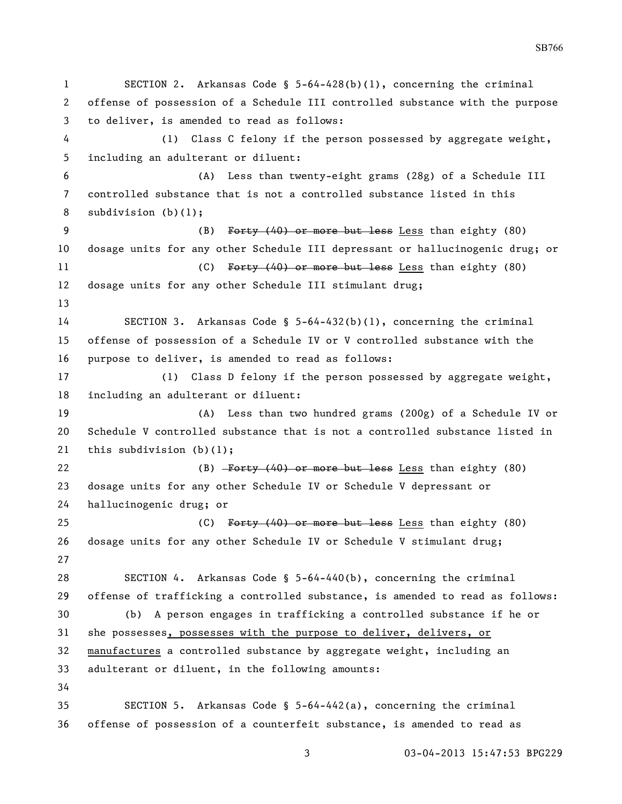SECTION 2. Arkansas Code § 5-64-428(b)(1), concerning the criminal offense of possession of a Schedule III controlled substance with the purpose to deliver, is amended to read as follows: (1) Class C felony if the person possessed by aggregate weight, including an adulterant or diluent: (A) Less than twenty-eight grams (28g) of a Schedule III controlled substance that is not a controlled substance listed in this subdivision (b)(1); 9 (B) Forty (40) or more but less than eighty (80) dosage units for any other Schedule III depressant or hallucinogenic drug; or 11 (C) Forty (40) or more but less Less than eighty (80) dosage units for any other Schedule III stimulant drug; SECTION 3. Arkansas Code § 5-64-432(b)(1), concerning the criminal offense of possession of a Schedule IV or V controlled substance with the purpose to deliver, is amended to read as follows: (1) Class D felony if the person possessed by aggregate weight, including an adulterant or diluent: (A) Less than two hundred grams (200g) of a Schedule IV or Schedule V controlled substance that is not a controlled substance listed in this subdivision (b)(1); 22 (B) Forty (40) or more but less Less than eighty (80) dosage units for any other Schedule IV or Schedule V depressant or hallucinogenic drug; or 25 (C) Forty (40) or more but less Less than eighty (80) dosage units for any other Schedule IV or Schedule V stimulant drug; SECTION 4. Arkansas Code § 5-64-440(b), concerning the criminal offense of trafficking a controlled substance, is amended to read as follows: (b) A person engages in trafficking a controlled substance if he or she possesses, possesses with the purpose to deliver, delivers, or manufactures a controlled substance by aggregate weight, including an adulterant or diluent, in the following amounts: SECTION 5. Arkansas Code § 5-64-442(a), concerning the criminal offense of possession of a counterfeit substance, is amended to read as

03-04-2013 15:47:53 BPG229

SB766